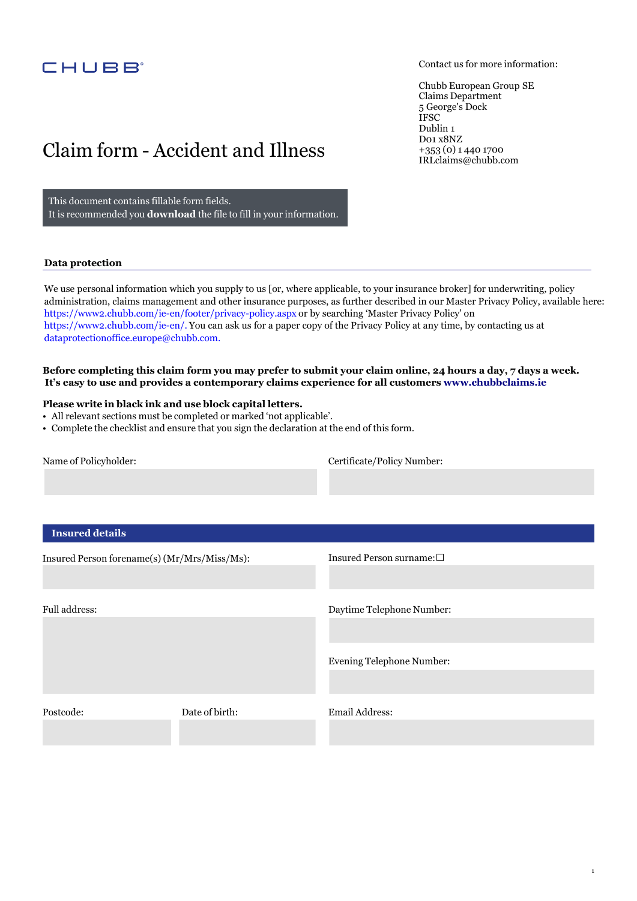## CHUBB<sup>®</sup>

Contact us for more information:

1

Chubb European Group SE Claims Department 5 George's Dock IFSC Dublin 1 D01 x8NZ +353 (0) 1 440 1700 IRL[claims@chubb.com](mailto:IRLclaims@chubb.com)

## Claim form - Accident and Illness

This document contains fillable form fields. It is recommended you **download** the file to fill in your information.

#### **Data protection**

We use personal information which you supply to us [or, where applicable, to your insurance broker] for underwriting, policy administration, claims management and other insurance purposes, as further described in our Master Privacy Policy, available here: https://www2.chubb.com/ie[-en/footer/privacy-policy.aspx](https://www2.chubb.com/ie-en/footer/privacy-policy.aspx) or by searching 'Master Privacy Policy' on [https://www2.chubb.com/](https://www2.chubb.com/ie-en)ie-en/. You can ask us for a paper copy of the Privacy Policy at any time, by contacting us at [dataprotectionoffice.europe@chubb.com.](mailto:dataprotectionoffice.europe@chubb.com)

**Before completing this claim form you may prefer to submit your claim online, 24 hours a day, 7 days a week. It's easy to use and provides a contemporary claims experience for all customers <www.chubbclaims.ie>**

### **Please write in black ink and use block capital letters.**

- All relevant sections must be completed or marked 'not applicable'.
- Complete the checklist and ensure that you sign the declaration at the end of this form.

Name of Policyholder: Certificate/Policy Number:

## **Insured details**

| Insured Person forename(s) (Mr/Mrs/Miss/Ms): |                | Insured Person surname: $\square$ |
|----------------------------------------------|----------------|-----------------------------------|
| Full address:                                |                | Daytime Telephone Number:         |
|                                              |                | <b>Evening Telephone Number:</b>  |
| Postcode:                                    | Date of birth: | Email Address:                    |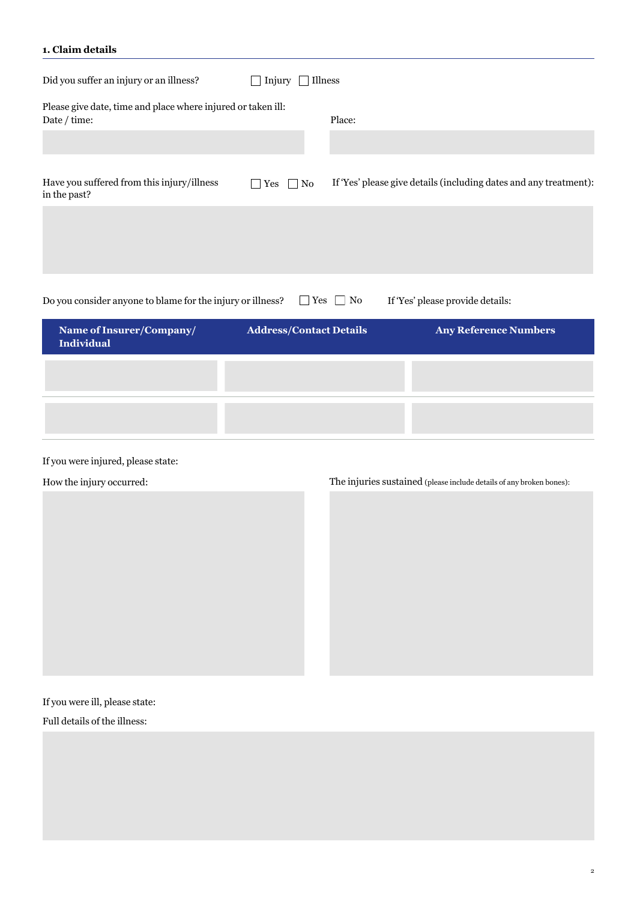### **1. Claim details**

| Did you suffer an injury or an illness?                                      | Injury<br>Illness                |               |                                                                   |
|------------------------------------------------------------------------------|----------------------------------|---------------|-------------------------------------------------------------------|
| Please give date, time and place where injured or taken ill:<br>Date / time: |                                  | Place:        |                                                                   |
|                                                                              |                                  |               |                                                                   |
| Have you suffered from this injury/illness<br>in the past?                   | $\Box$ No<br>Yes<br>$\mathbf{L}$ |               | If 'Yes' please give details (including dates and any treatment): |
|                                                                              |                                  |               |                                                                   |
|                                                                              |                                  |               |                                                                   |
| Do you consider anyone to blame for the injury or illness?                   | $\perp$                          | $Yes \Box No$ | If 'Yes' please provide details:                                  |
| Name of Insurer/Company/<br><b>Individual</b>                                | <b>Address/Contact Details</b>   |               | <b>Any Reference Numbers</b>                                      |
|                                                                              |                                  |               |                                                                   |
|                                                                              |                                  |               |                                                                   |
|                                                                              |                                  |               |                                                                   |

## If you were injured, please state:

## How the injury occurred: The injuries sustained (please include details of any broken bones):

If you were ill, please state:

Full details of the illness: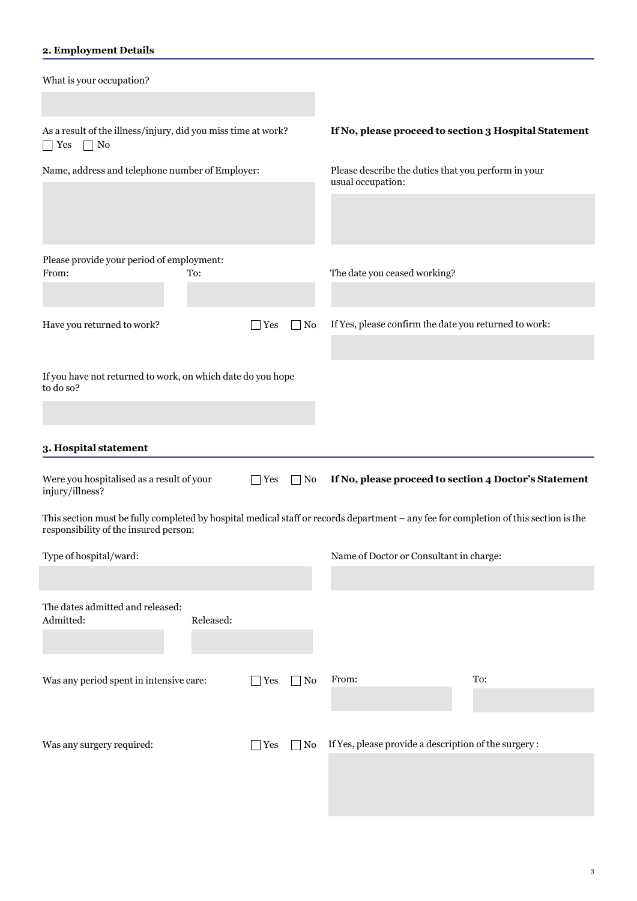## **2. Employment Details**

| What is your occupation?                                                                                                                                |           |            |                   |                                                                          |     |
|---------------------------------------------------------------------------------------------------------------------------------------------------------|-----------|------------|-------------------|--------------------------------------------------------------------------|-----|
| As a result of the illness/injury, did you miss time at work?<br>No<br>$\Box$ Yes                                                                       |           |            |                   | If No, please proceed to section 3 Hospital Statement                    |     |
| Name, address and telephone number of Employer:                                                                                                         |           |            |                   | Please describe the duties that you perform in your<br>usual occupation: |     |
|                                                                                                                                                         |           |            |                   |                                                                          |     |
| Please provide your period of employment:                                                                                                               |           |            |                   |                                                                          |     |
| From:                                                                                                                                                   | To:       |            |                   | The date you ceased working?                                             |     |
| Have you returned to work?                                                                                                                              |           | Yes        | $\Box$ No         | If Yes, please confirm the date you returned to work:                    |     |
|                                                                                                                                                         |           |            |                   |                                                                          |     |
| If you have not returned to work, on which date do you hope<br>to do so?                                                                                |           |            |                   |                                                                          |     |
|                                                                                                                                                         |           |            |                   |                                                                          |     |
|                                                                                                                                                         |           |            |                   |                                                                          |     |
|                                                                                                                                                         |           |            |                   |                                                                          |     |
| 3. Hospital statement<br>Were you hospitalised as a result of your                                                                                      |           | <b>Yes</b> | $\Box$ No         | If No, please proceed to section 4 Doctor's Statement                    |     |
| injury/illness?<br>This section must be fully completed by hospital medical staff or records department - any fee for completion of this section is the |           |            |                   |                                                                          |     |
| responsibility of the insured person:                                                                                                                   |           |            |                   |                                                                          |     |
| Type of hospital/ward:                                                                                                                                  |           |            |                   | Name of Doctor or Consultant in charge:                                  |     |
| The dates admitted and released:<br>Admitted:                                                                                                           | Released: |            |                   |                                                                          |     |
|                                                                                                                                                         |           |            |                   |                                                                          |     |
|                                                                                                                                                         |           |            |                   | From:                                                                    | To: |
| Was any period spent in intensive care:                                                                                                                 |           | $\Box$ Yes | $\blacksquare$ No |                                                                          |     |
|                                                                                                                                                         |           |            |                   |                                                                          |     |
| Was any surgery required:                                                                                                                               |           | $\Box$ Yes | $\Box$ No         | If Yes, please provide a description of the surgery :                    |     |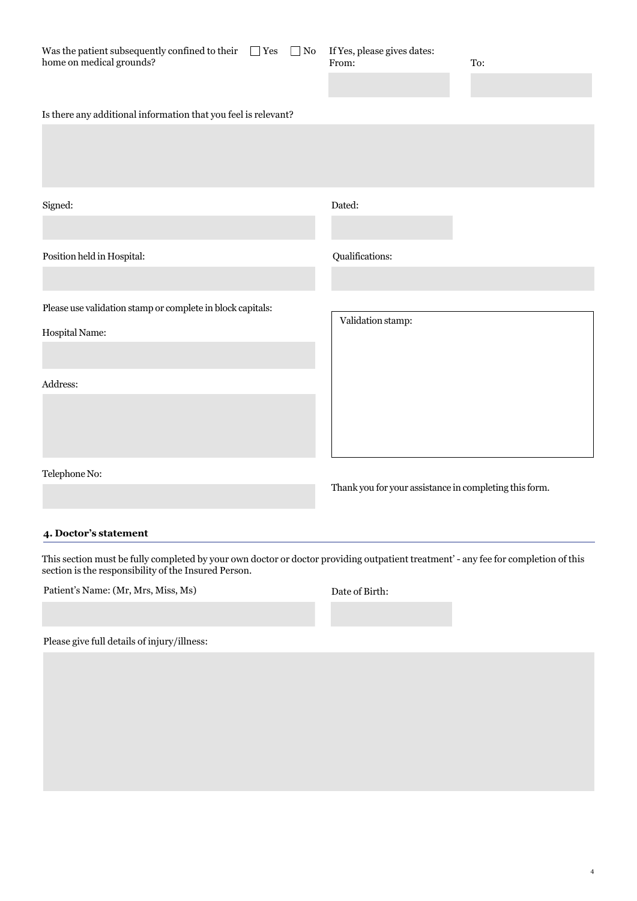| Was the patient subsequently confined to their<br>$\Box$ Yes<br>home on medical grounds? | $\Box$ No | If Yes, please gives dates:<br>From:                   | To: |
|------------------------------------------------------------------------------------------|-----------|--------------------------------------------------------|-----|
| Is there any additional information that you feel is relevant?                           |           |                                                        |     |
| Signed:                                                                                  |           | Dated:                                                 |     |
| Position held in Hospital:                                                               |           | Qualifications:                                        |     |
| Please use validation stamp or complete in block capitals:                               |           | Validation stamp:                                      |     |
| Hospital Name:                                                                           |           |                                                        |     |
| Address:                                                                                 |           |                                                        |     |
| Telephone No:                                                                            |           | Thank you for your assistance in completing this form. |     |

## **4. Doctor's statement**

This section must be fully completed by your own doctor or doctor providing outpatient treatment' - any fee for completion of this section is the responsibility of the Insured Person.

Patient's Name: (Mr, Mrs, Miss, Ms) Date of Birth:

Please give full details of injury/illness: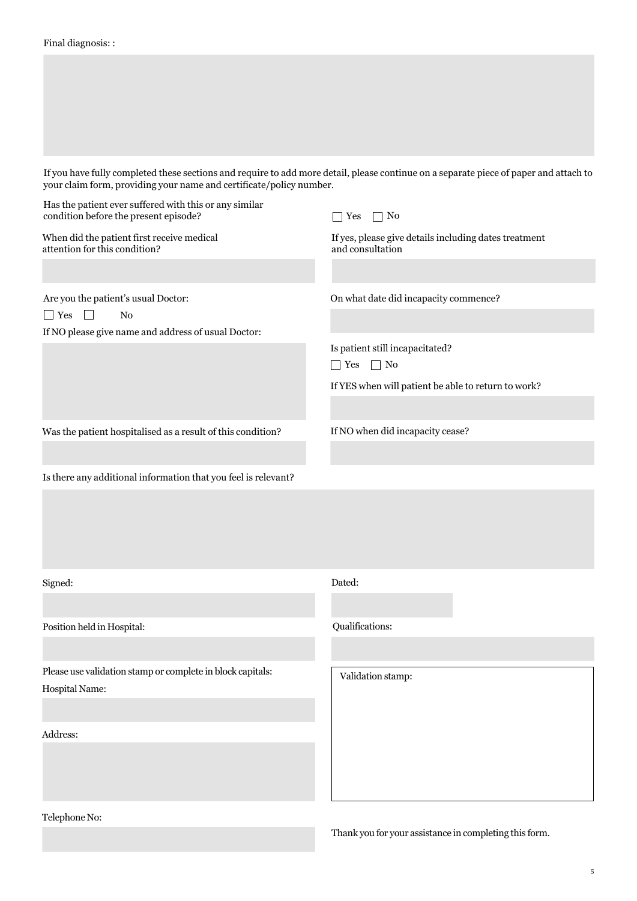If you have fully completed these sections and require to add more detail, please continue on a separate piece of paper and attach to your claim form, providing your name and certificate/policy number.

| Has the patient ever suffered with this or any similar<br>condition before the present episode? | $\Box$ No<br><b>Yes</b>                                                   |
|-------------------------------------------------------------------------------------------------|---------------------------------------------------------------------------|
| When did the patient first receive medical<br>attention for this condition?                     | If yes, please give details including dates treatment<br>and consultation |
|                                                                                                 |                                                                           |
| Are you the patient's usual Doctor:                                                             | On what date did incapacity commence?                                     |
| $\Box$ Yes<br>$\Box$<br>$\rm No$<br>If NO please give name and address of usual Doctor:         |                                                                           |
|                                                                                                 | Is patient still incapacitated?<br>$\Box$ No<br>Yes                       |
|                                                                                                 | If YES when will patient be able to return to work?                       |
| Was the patient hospitalised as a result of this condition?                                     | If NO when did incapacity cease?                                          |
|                                                                                                 |                                                                           |
| Is there any additional information that you feel is relevant?                                  |                                                                           |
|                                                                                                 |                                                                           |
| Signed:                                                                                         | Dated:                                                                    |
|                                                                                                 |                                                                           |
| Position held in Hospital:                                                                      | Qualifications:                                                           |
|                                                                                                 |                                                                           |
| Please use validation stamp or complete in block capitals:<br><b>Hospital Name:</b>             | Validation stamp:                                                         |
|                                                                                                 |                                                                           |
| Address:                                                                                        |                                                                           |
|                                                                                                 |                                                                           |
|                                                                                                 |                                                                           |

Telephone No:

Thank you for your assistance in completing this form.